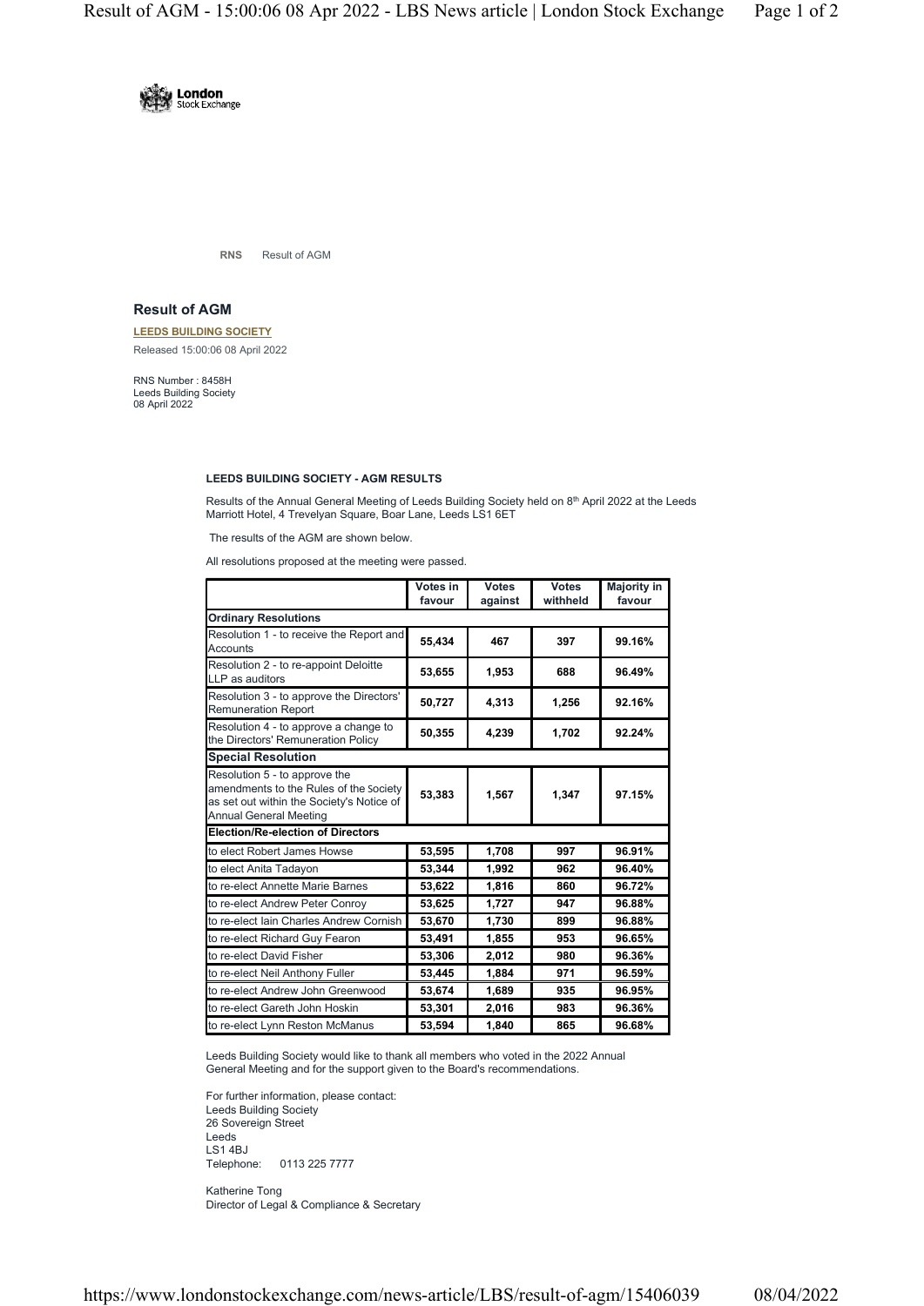

**RNS** Result of AGM

## **Result of AGM**

**LEEDS BUILDING SOCIETY** Released 15:00:06 08 April 2022

RNS Number : 8458H Leeds Building Society 08 April 2022

## **LEEDS BUILDING SOCIETY - AGM RESULTS**

Results of the Annual General Meeting of Leeds Building Society held on 8<sup>th</sup> April 2022 at the Leeds Marriott Hotel, 4 Trevelyan Square, Boar Lane, Leeds LS1 6ET

The results of the AGM are shown below.

All resolutions proposed at the meeting were passed.

|                                                                                                                                                       | Votes in<br>favour | <b>Votes</b><br>against | <b>Votes</b><br>withheld | <b>Majority in</b><br>favour |
|-------------------------------------------------------------------------------------------------------------------------------------------------------|--------------------|-------------------------|--------------------------|------------------------------|
| <b>Ordinary Resolutions</b>                                                                                                                           |                    |                         |                          |                              |
| Resolution 1 - to receive the Report and<br>Accounts                                                                                                  | 55.434             | 467                     | 397                      | 99.16%                       |
| Resolution 2 - to re-appoint Deloitte<br>LLP as auditors                                                                                              | 53,655             | 1,953                   | 688                      | 96.49%                       |
| Resolution 3 - to approve the Directors'<br><b>Remuneration Report</b>                                                                                | 50,727             | 4,313                   | 1,256                    | 92.16%                       |
| Resolution 4 - to approve a change to<br>the Directors' Remuneration Policy                                                                           | 50,355             | 4,239                   | 1,702                    | 92.24%                       |
| <b>Special Resolution</b>                                                                                                                             |                    |                         |                          |                              |
| Resolution 5 - to approve the<br>amendments to the Rules of the Society<br>as set out within the Society's Notice of<br><b>Annual General Meeting</b> | 53,383             | 1,567                   | 1,347                    | 97.15%                       |
| <b>Election/Re-election of Directors</b>                                                                                                              |                    |                         |                          |                              |
| to elect Robert James Howse                                                                                                                           | 53,595             | 1,708                   | 997                      | 96.91%                       |
| to elect Anita Tadayon                                                                                                                                | 53,344             | 1,992                   | 962                      | 96.40%                       |
| to re-elect Annette Marie Barnes                                                                                                                      | 53,622             | 1,816                   | 860                      | 96.72%                       |
| to re-elect Andrew Peter Conroy                                                                                                                       | 53,625             | 1,727                   | 947                      | 96.88%                       |
| to re-elect Iain Charles Andrew Cornish                                                                                                               | 53,670             | 1,730                   | 899                      | 96.88%                       |
| to re-elect Richard Guy Fearon                                                                                                                        | 53,491             | 1,855                   | 953                      | 96.65%                       |
| to re-elect David Fisher                                                                                                                              | 53,306             | 2,012                   | 980                      | 96.36%                       |
| to re-elect Neil Anthony Fuller                                                                                                                       | 53,445             | 1,884                   | 971                      | 96.59%                       |
| to re-elect Andrew John Greenwood                                                                                                                     | 53,674             | 1,689                   | 935                      | 96.95%                       |
| to re-elect Gareth John Hoskin                                                                                                                        | 53,301             | 2,016                   | 983                      | 96.36%                       |
| to re-elect Lynn Reston McManus                                                                                                                       | 53,594             | 1,840                   | 865                      | 96.68%                       |

Leeds Building Society would like to thank all members who voted in the 2022 Annual General Meeting and for the support given to the Board's recommendations.

For further information, please contact: Leeds Building Society 26 Sovereign Street Leeds LS1 4BJ Telephone: 0113 225 7777

Katherine Tong Director of Legal & Compliance & Secretary